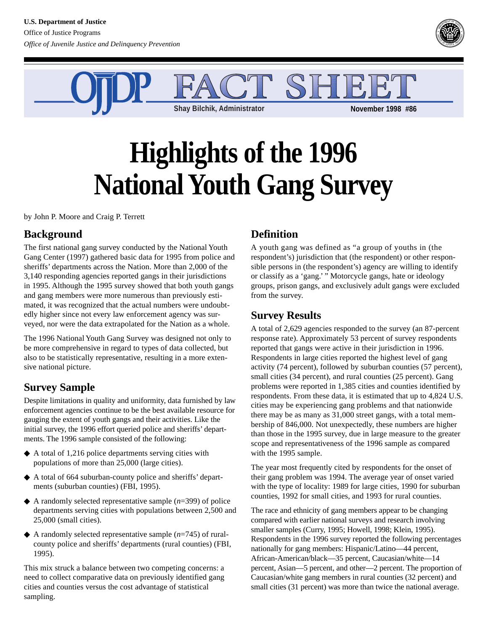



# **Highlights of the 1996 National Youth Gang Survey**

by John P. Moore and Craig P. Terrett

## **Background**

The first national gang survey conducted by the National Youth Gang Center (1997) gathered basic data for 1995 from police and sheriffs' departments across the Nation. More than 2,000 of the 3,140 responding agencies reported gangs in their jurisdictions in 1995. Although the 1995 survey showed that both youth gangs and gang members were more numerous than previously estimated, it was recognized that the actual numbers were undoubtedly higher since not every law enforcement agency was surveyed, nor were the data extrapolated for the Nation as a whole.

The 1996 National Youth Gang Survey was designed not only to be more comprehensive in regard to types of data collected, but also to be statistically representative, resulting in a more extensive national picture.

# **Survey Sample**

Despite limitations in quality and uniformity, data furnished by law enforcement agencies continue to be the best available resource for gauging the extent of youth gangs and their activities. Like the initial survey, the 1996 effort queried police and sheriffs' departments. The 1996 sample consisted of the following:

- ◆ A total of 1,216 police departments serving cities with populations of more than 25,000 (large cities).
- ◆ A total of 664 suburban-county police and sheriffs' departments (suburban counties) (FBI, 1995).
- ◆ A randomly selected representative sample (*n*=399) of police departments serving cities with populations between 2,500 and 25,000 (small cities).
- ◆ A randomly selected representative sample (*n*=745) of ruralcounty police and sheriffs' departments (rural counties) (FBI, 1995).

This mix struck a balance between two competing concerns: a need to collect comparative data on previously identified gang cities and counties versus the cost advantage of statistical sampling.

# **Definition**

A youth gang was defined as "a group of youths in (the respondent's) jurisdiction that (the respondent) or other responsible persons in (the respondent's) agency are willing to identify or classify as a 'gang.' " Motorcycle gangs, hate or ideology groups, prison gangs, and exclusively adult gangs were excluded from the survey.

#### **Survey Results**

A total of 2,629 agencies responded to the survey (an 87-percent response rate). Approximately 53 percent of survey respondents reported that gangs were active in their jurisdiction in 1996. Respondents in large cities reported the highest level of gang activity (74 percent), followed by suburban counties (57 percent), small cities (34 percent), and rural counties (25 percent). Gang problems were reported in 1,385 cities and counties identified by respondents. From these data, it is estimated that up to 4,824 U.S. cities may be experiencing gang problems and that nationwide there may be as many as 31,000 street gangs, with a total membership of 846,000. Not unexpectedly, these numbers are higher than those in the 1995 survey, due in large measure to the greater scope and representativeness of the 1996 sample as compared with the 1995 sample.

The year most frequently cited by respondents for the onset of their gang problem was 1994. The average year of onset varied with the type of locality: 1989 for large cities, 1990 for suburban counties, 1992 for small cities, and 1993 for rural counties.

The race and ethnicity of gang members appear to be changing compared with earlier national surveys and research involving smaller samples (Curry, 1995; Howell, 1998; Klein, 1995). Respondents in the 1996 survey reported the following percentages nationally for gang members: Hispanic/Latino—44 percent, African-American/black—35 percent, Caucasian/white—14 percent, Asian—5 percent, and other—2 percent. The proportion of Caucasian/white gang members in rural counties (32 percent) and small cities (31 percent) was more than twice the national average.